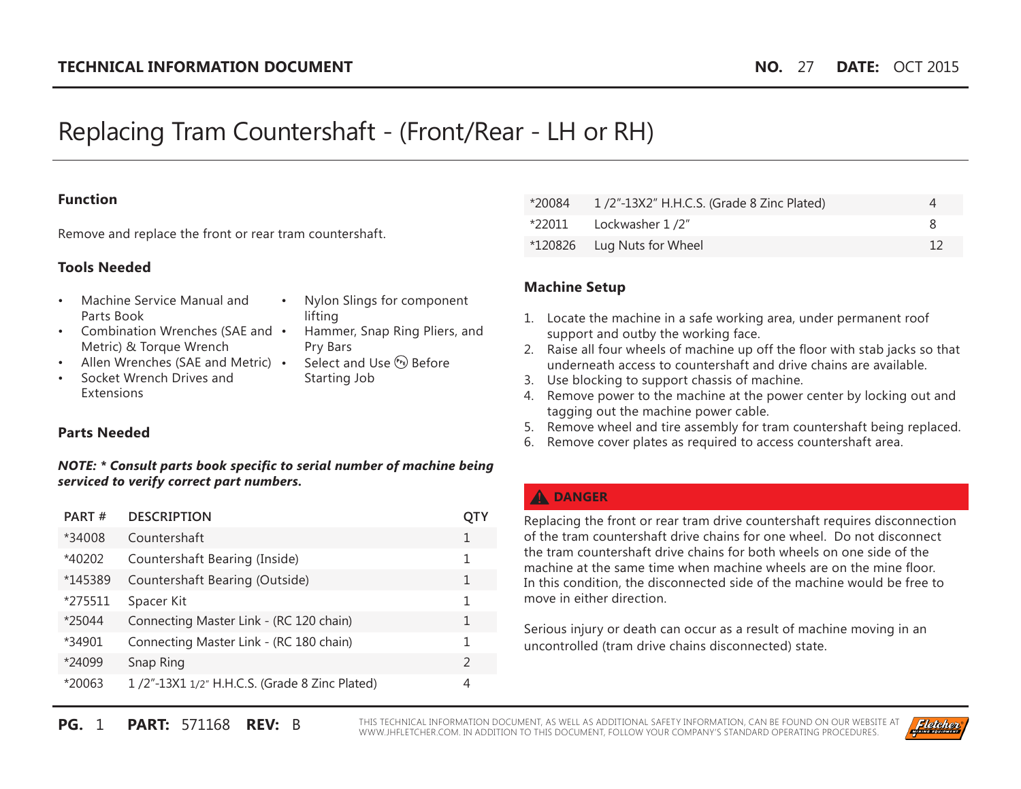# Replacing Tram Countershaft - (Front/Rear - LH or RH)

#### **Function**

Remove and replace the front or rear tram countershaft.

#### **Tools Needed**

- • Machine Service Manual and Parts Book
- Nylon Slings for component lifting
- Combination Wrenches (SAE and Metric) & Torque Wrench
- Allen Wrenches (SAE and Metric) •
- Socket Wrench Drives and Extensions
- Hammer, Snap Ring Pliers, and Pry Bars Select and Use (PE) Before
- Starting Job

#### **Parts Needed**

#### *NOTE: \* Consult parts book specific to serial number of machine being serviced to verify correct part numbers.*

| PART#   | <b>DESCRIPTION</b>                            | OIY           |
|---------|-----------------------------------------------|---------------|
| *34008  | Countershaft                                  | 1             |
| *40202  | Countershaft Bearing (Inside)                 | 1             |
| *145389 | Countershaft Bearing (Outside)                | 1             |
| *275511 | Spacer Kit                                    | 1             |
| *25044  | Connecting Master Link - (RC 120 chain)       | 1             |
| *34901  | Connecting Master Link - (RC 180 chain)       | 1             |
| *24099  | Snap Ring                                     | $\mathcal{L}$ |
| *20063  | 1/2"-13X1 1/2" H.H.C.S. (Grade 8 Zinc Plated) | 4             |

| *20084 | 1/2"-13X2" H.H.C.S. (Grade 8 Zinc Plated) |  |
|--------|-------------------------------------------|--|
|        | $*22011$ Lockwasher $1/2$ "               |  |
|        | *120826 Lug Nuts for Wheel                |  |

#### **Machine Setup**

- 1. Locate the machine in a safe working area, under permanent roof support and outby the working face.
- 2. Raise all four wheels of machine up off the floor with stab jacks so that underneath access to countershaft and drive chains are available.
- 3. Use blocking to support chassis of machine.
- 4. Remove power to the machine at the power center by locking out and tagging out the machine power cable.
- 5. Remove wheel and tire assembly for tram countershaft being replaced.
- 6. Remove cover plates as required to access countershaft area.

# **A** DANGER

Replacing the front or rear tram drive countershaft requires disconnection of the tram countershaft drive chains for one wheel. Do not disconnect the tram countershaft drive chains for both wheels on one side of the machine at the same time when machine wheels are on the mine floor. In this condition, the disconnected side of the machine would be free to move in either direction.

Serious injury or death can occur as a result of machine moving in an uncontrolled (tram drive chains disconnected) state.

**PG.** 1 **PART:** 571168 **REV:** B THIS TECHNICAL INFORMATION DOCUMENT, AS WELL AS ADDITIONAL SAFETY INFORMATION, CAN BE FOUND ON OUR WEBSITE AT WWW.JHFLETCHER.COM. IN ADDITION TO THIS DOCUMENT, FOLLOW YOUR COMPANY'S STANDARD OPERATING PROCEDURES.

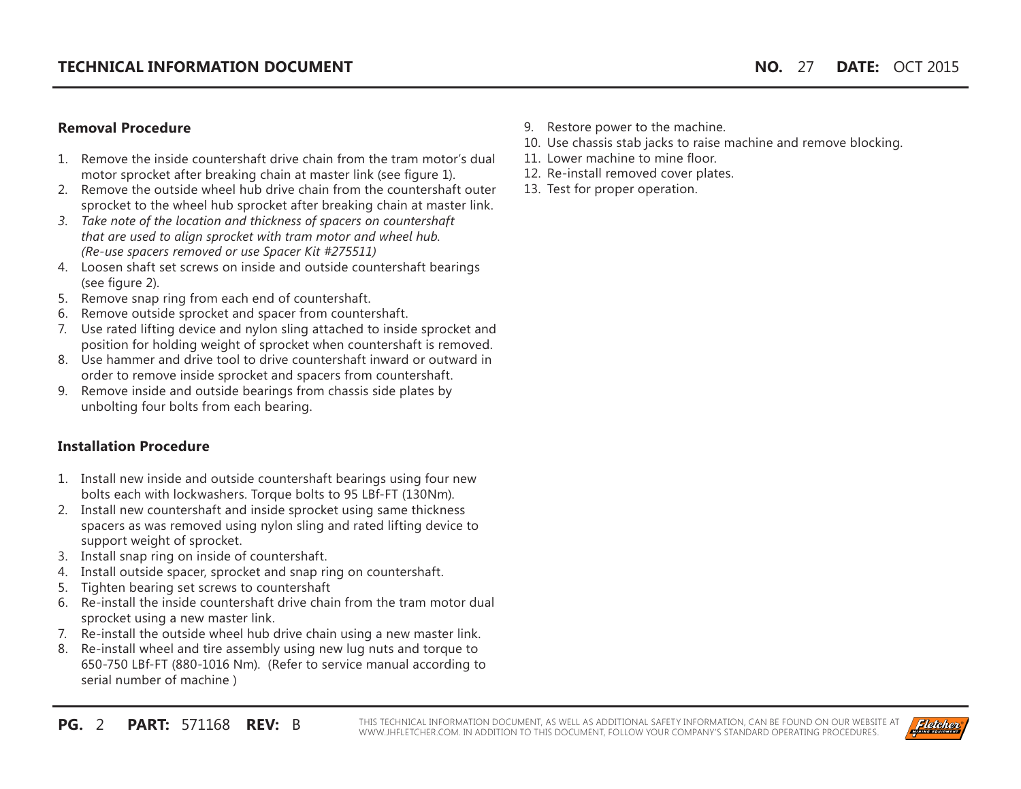# **Removal Procedure**

- 1. Remove the inside countershaft drive chain from the tram motor's dual motor sprocket after breaking chain at master link (see figure 1).
- 2. Remove the outside wheel hub drive chain from the countershaft outer sprocket to the wheel hub sprocket after breaking chain at master link.
- *3. Take note of the location and thickness of spacers on countershaft that are used to align sprocket with tram motor and wheel hub. (Re-use spacers removed or use Spacer Kit #275511)*
- 4. Loosen shaft set screws on inside and outside countershaft bearings (see figure 2).
- 5. Remove snap ring from each end of countershaft.
- 6. Remove outside sprocket and spacer from countershaft.
- 7. Use rated lifting device and nylon sling attached to inside sprocket and position for holding weight of sprocket when countershaft is removed.
- 8. Use hammer and drive tool to drive countershaft inward or outward in order to remove inside sprocket and spacers from countershaft.
- 9. Remove inside and outside bearings from chassis side plates by unbolting four bolts from each bearing.

# **Installation Procedure**

- 1. Install new inside and outside countershaft bearings using four new bolts each with lockwashers. Torque bolts to 95 LBf-FT (130Nm).
- 2. Install new countershaft and inside sprocket using same thickness spacers as was removed using nylon sling and rated lifting device to support weight of sprocket.
- 3. Install snap ring on inside of countershaft.
- 4. Install outside spacer, sprocket and snap ring on countershaft.
- 5. Tighten bearing set screws to countershaft
- 6. Re-install the inside countershaft drive chain from the tram motor dual sprocket using a new master link.
- 7. Re-install the outside wheel hub drive chain using a new master link.
- 8. Re-install wheel and tire assembly using new lug nuts and torque to 650-750 LBf-FT (880-1016 Nm). (Refer to service manual according to serial number of machine )
- 9. Restore power to the machine.
- 10. Use chassis stab jacks to raise machine and remove blocking.
- 11. Lower machine to mine floor.
- 12. Re-install removed cover plates.
- 13. Test for proper operation.

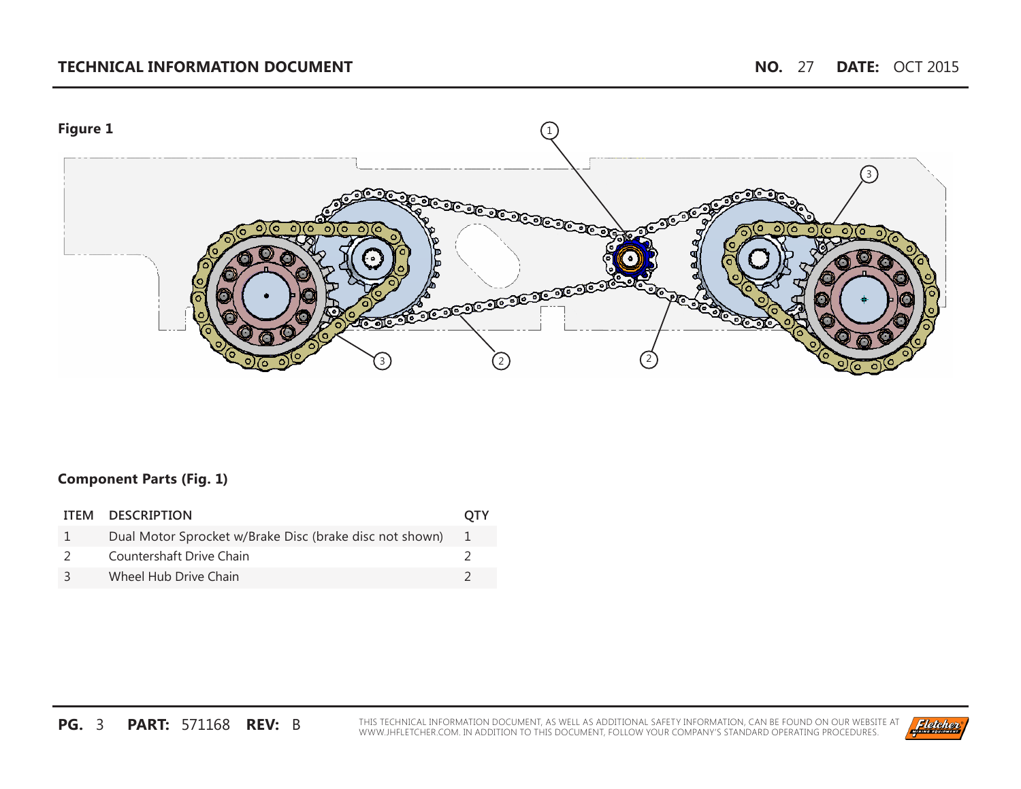# **TECHNICAL INFORMATION DOCUMENT NO.** 27 **DATE:** OCT 2015



## **Component Parts (Fig. 1)**

| ITEM DESCRIPTION                                        | <b>OTY</b> |
|---------------------------------------------------------|------------|
| Dual Motor Sprocket w/Brake Disc (brake disc not shown) | $\sim 1$   |
| Countershaft Drive Chain                                |            |
| Wheel Hub Drive Chain                                   |            |

**PG. 3 PART: 571168 REV:** B THIS TECHNICAL INFORMATION DOCUMENT, AS WELL AS ADDITIONAL SAFETY INFORMATION, CAN BE FOUND ON OUR WEBSITE AT WWW.JHFLETCHER.COM. IN ADDITION TO THIS DOCUMENT, FOLLOW YOUR COMPANY'S STANDARD OPE